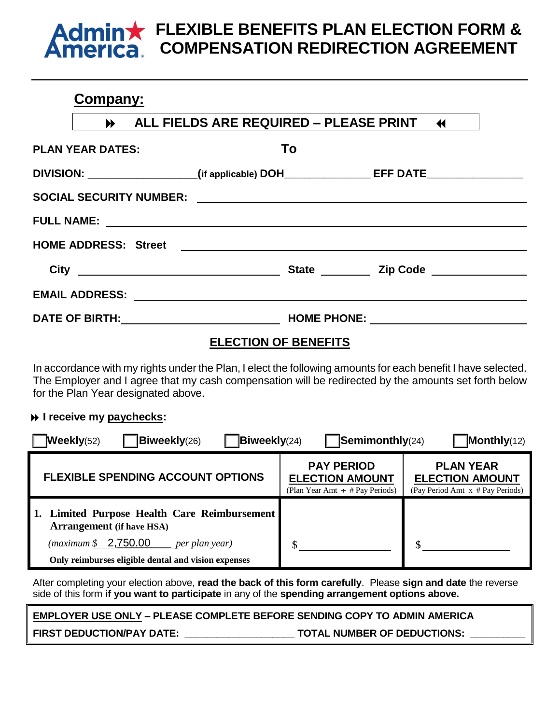## **FLEXIBLE BENEFITS PLAN ELECTION FORM &**  min**x COMPENSATION REDIRECTION AGREEMENT**

# **Company:**

|                                                                                                                                                                                                                                      | ALL FIELDS ARE REQUIRED - PLEASE PRINT 44 |                                       |  |
|--------------------------------------------------------------------------------------------------------------------------------------------------------------------------------------------------------------------------------------|-------------------------------------------|---------------------------------------|--|
| <b>PLAN YEAR DATES:</b>                                                                                                                                                                                                              | To                                        |                                       |  |
| DIVISION: __________________(if applicable) DOH________________EFF DATE________________                                                                                                                                              |                                           |                                       |  |
|                                                                                                                                                                                                                                      |                                           |                                       |  |
|                                                                                                                                                                                                                                      |                                           |                                       |  |
|                                                                                                                                                                                                                                      |                                           |                                       |  |
| City <u>and the contract of the contract of the contract of the contract of the contract of the contract of the contract of the contract of the contract of the contract of the contract of the contract of the contract of the </u> |                                           | State <u>Constantine and Zip Code</u> |  |
|                                                                                                                                                                                                                                      |                                           |                                       |  |
|                                                                                                                                                                                                                                      |                                           |                                       |  |

# **ELECTION OF BENEFITS**

In accordance with my rights under the Plan, I elect the following amounts for each benefit I have selected. The Employer and I agree that my cash compensation will be redirected by the amounts set forth below for the Plan Year designated above.

## **I** receive my paychecks:

| <b>Weekly(52)</b><br><b>Biweekly</b> (26)<br>$\overline{B}$ iweekly(24)                                               | $\sqrt{\text{Seminonthly}}(24)$                                                     | $M$ onthly(12)                                                                 |
|-----------------------------------------------------------------------------------------------------------------------|-------------------------------------------------------------------------------------|--------------------------------------------------------------------------------|
| <b>FLEXIBLE SPENDING ACCOUNT OPTIONS</b>                                                                              | <b>PAY PERIOD</b><br><b>ELECTION AMOUNT</b><br>(Plan Year Amt $\div$ # Pay Periods) | <b>PLAN YEAR</b><br><b>ELECTION AMOUNT</b><br>(Pay Period Amt x # Pay Periods) |
| 1. Limited Purpose Health Care Reimbursement<br><b>Arrangement</b> (if have HSA)                                      |                                                                                     |                                                                                |
| $(maximum \, \frac{\mathcal{L}}{2,750.00})$<br>_per plan year)<br>Only reimburses eligible dental and vision expenses |                                                                                     |                                                                                |

After completing your election above, **read the back of this form carefully**. Please **sign and date** the reverse side of this form **if you want to participate** in any of the **spending arrangement options above.**

**EMPLOYER USE ONLY – PLEASE COMPLETE BEFORE SENDING COPY TO ADMIN AMERICA FIRST DEDUCTION/PAY DATE: \_\_\_\_\_\_\_\_\_\_\_\_\_\_\_\_\_\_\_\_ TOTAL NUMBER OF DEDUCTIONS: \_\_\_\_\_\_\_\_\_\_**